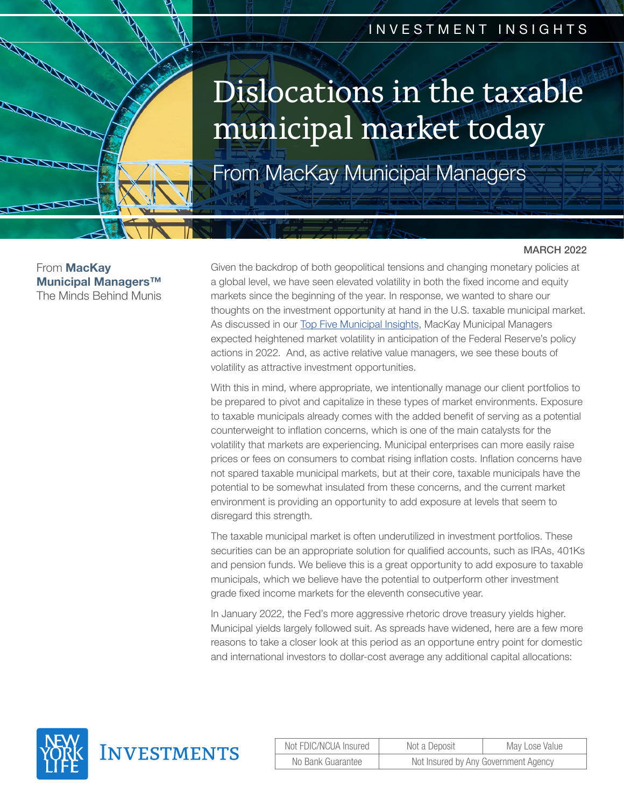# INVESTMENT INSIGHTS

# Dislocations in the taxable municipal market today

From MacKay Municipal Managers

From **MacKay** Municipal Managers™ The Minds Behind Munis

#### MARCH 2022

Given the backdrop of both geopolitical tensions and changing monetary policies at a global level, we have seen elevated volatility in both the fixed income and equity markets since the beginning of the year. In response, we wanted to share our thoughts on the investment opportunity at hand in the U.S. taxable municipal market. As discussed in our [Top Five Municipal Insights](https://www.newyorklifeinvestments.com/insights/2022-municipal-market-insights), MacKay Municipal Managers expected heightened market volatility in anticipation of the Federal Reserve's policy actions in 2022. And, as active relative value managers, we see these bouts of volatility as attractive investment opportunities.

With this in mind, where appropriate, we intentionally manage our client portfolios to be prepared to pivot and capitalize in these types of market environments. Exposure to taxable municipals already comes with the added benefit of serving as a potential counterweight to inflation concerns, which is one of the main catalysts for the volatility that markets are experiencing. Municipal enterprises can more easily raise prices or fees on consumers to combat rising inflation costs. Inflation concerns have not spared taxable municipal markets, but at their core, taxable municipals have the potential to be somewhat insulated from these concerns, and the current market environment is providing an opportunity to add exposure at levels that seem to disregard this strength.

The taxable municipal market is often underutilized in investment portfolios. These securities can be an appropriate solution for qualified accounts, such as IRAs, 401Ks and pension funds. We believe this is a great opportunity to add exposure to taxable municipals, which we believe have the potential to outperform other investment grade fixed income markets for the eleventh consecutive year.

In January 2022, the Fed's more aggressive rhetoric drove treasury yields higher. Municipal yields largely followed suit. As spreads have widened, here are a few more reasons to take a closer look at this period as an opportune entry point for domestic and international investors to dollar-cost average any additional capital allocations:



| Not FDIC/NCUA Insured | Not a Deposit                        | May Lose Value |
|-----------------------|--------------------------------------|----------------|
| No Bank Guarantee     | Not Insured by Any Government Agency |                |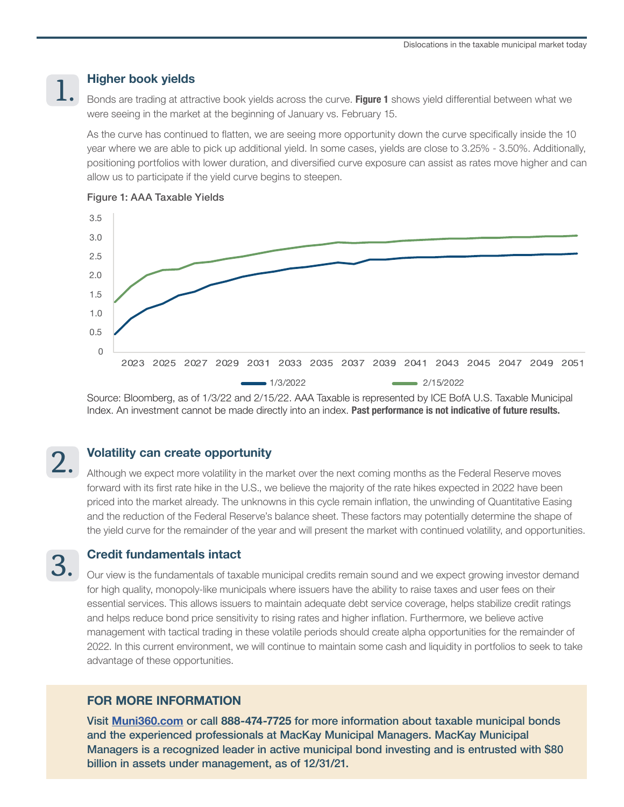## Higher book yields

1.

Bonds are trading at attractive book yields across the curve. Figure 1 shows yield differential between what we were seeing in the market at the beginning of January vs. February 15.

As the curve has continued to flatten, we are seeing more opportunity down the curve specifically inside the 10 year where we are able to pick up additional yield. In some cases, yields are close to 3.25% - 3.50%. Additionally, positioning portfolios with lower duration, and diversified curve exposure can assist as rates move higher and can allow us to participate if the yield curve begins to steepen.



#### Figure 1: AAA Taxable Yields

Source: Bloomberg, as of 1/3/22 and 2/15/22. AAA Taxable is represented by ICE BofA U.S. Taxable Municipal Index. An investment cannot be made directly into an index. Past performance is not indicative of future results.

# 2.

3.

### Volatility can create opportunity

Although we expect more volatility in the market over the next coming months as the Federal Reserve moves forward with its first rate hike in the U.S., we believe the majority of the rate hikes expected in 2022 have been priced into the market already. The unknowns in this cycle remain inflation, the unwinding of Quantitative Easing and the reduction of the Federal Reserve's balance sheet. These factors may potentially determine the shape of the yield curve for the remainder of the year and will present the market with continued volatility, and opportunities.

# Credit fundamentals intact

Our view is the fundamentals of taxable municipal credits remain sound and we expect growing investor demand for high quality, monopoly-like municipals where issuers have the ability to raise taxes and user fees on their essential services. This allows issuers to maintain adequate debt service coverage, helps stabilize credit ratings and helps reduce bond price sensitivity to rising rates and higher inflation. Furthermore, we believe active management with tactical trading in these volatile periods should create alpha opportunities for the remainder of 2022. In this current environment, we will continue to maintain some cash and liquidity in portfolios to seek to take advantage of these opportunities.

### FOR MORE INFORMATION

Visit [Muni360.com](https://www.newyorklifeinvestments.com/investment-strategies/muni-360) or call 888-474-7725 for more information about taxable municipal bonds and the experienced professionals at MacKay Municipal Managers. MacKay Municipal Managers is a recognized leader in active municipal bond investing and is entrusted with \$80 billion in assets under management, as of 12/31/21.